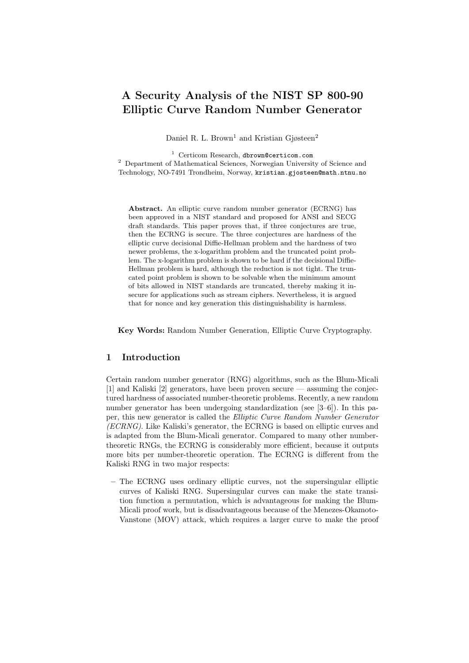# A Security Analysis of the NIST SP 800-90 Elliptic Curve Random Number Generator

Daniel R. L. Brown<sup>1</sup> and Kristian Gjøsteen<sup>2</sup>

<sup>1</sup> Certicom Research, dbrown@certicom.com <sup>2</sup> Department of Mathematical Sciences, Norwegian University of Science and Technology, NO-7491 Trondheim, Norway, kristian.gjosteen@math.ntnu.no

Abstract. An elliptic curve random number generator (ECRNG) has been approved in a NIST standard and proposed for ANSI and SECG draft standards. This paper proves that, if three conjectures are true, then the ECRNG is secure. The three conjectures are hardness of the elliptic curve decisional Diffie-Hellman problem and the hardness of two newer problems, the x-logarithm problem and the truncated point problem. The x-logarithm problem is shown to be hard if the decisional Diffie-Hellman problem is hard, although the reduction is not tight. The truncated point problem is shown to be solvable when the minimum amount of bits allowed in NIST standards are truncated, thereby making it insecure for applications such as stream ciphers. Nevertheless, it is argued that for nonce and key generation this distinguishability is harmless.

Key Words: Random Number Generation, Elliptic Curve Cryptography.

## 1 Introduction

Certain random number generator (RNG) algorithms, such as the Blum-Micali [1] and Kaliski [2] generators, have been proven secure — assuming the conjectured hardness of associated number-theoretic problems. Recently, a new random number generator has been undergoing standardization (see [3–6]). In this paper, this new generator is called the Elliptic Curve Random Number Generator (ECRNG). Like Kaliski's generator, the ECRNG is based on elliptic curves and is adapted from the Blum-Micali generator. Compared to many other numbertheoretic RNGs, the ECRNG is considerably more efficient, because it outputs more bits per number-theoretic operation. The ECRNG is different from the Kaliski RNG in two major respects:

– The ECRNG uses ordinary elliptic curves, not the supersingular elliptic curves of Kaliski RNG. Supersingular curves can make the state transition function a permutation, which is advantageous for making the Blum-Micali proof work, but is disadvantageous because of the Menezes-Okamoto-Vanstone (MOV) attack, which requires a larger curve to make the proof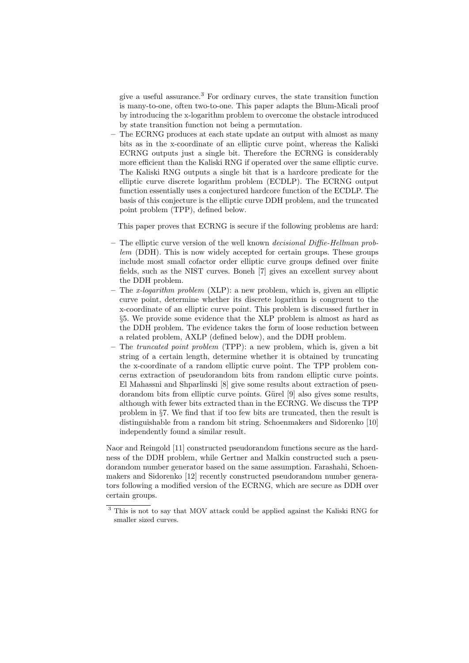give a useful assurance.<sup>3</sup> For ordinary curves, the state transition function is many-to-one, often two-to-one. This paper adapts the Blum-Micali proof by introducing the x-logarithm problem to overcome the obstacle introduced by state transition function not being a permutation.

– The ECRNG produces at each state update an output with almost as many bits as in the x-coordinate of an elliptic curve point, whereas the Kaliski ECRNG outputs just a single bit. Therefore the ECRNG is considerably more efficient than the Kaliski RNG if operated over the same elliptic curve. The Kaliski RNG outputs a single bit that is a hardcore predicate for the elliptic curve discrete logarithm problem (ECDLP). The ECRNG output function essentially uses a conjectured hardcore function of the ECDLP. The basis of this conjecture is the elliptic curve DDH problem, and the truncated point problem (TPP), defined below.

This paper proves that ECRNG is secure if the following problems are hard:

- The elliptic curve version of the well known decisional Diffie-Hellman problem (DDH). This is now widely accepted for certain groups. These groups include most small cofactor order elliptic curve groups defined over finite fields, such as the NIST curves. Boneh [7] gives an excellent survey about the DDH problem.
- The x-logarithm problem (XLP): a new problem, which is, given an elliptic curve point, determine whether its discrete logarithm is congruent to the x-coordinate of an elliptic curve point. This problem is discussed further in §5. We provide some evidence that the XLP problem is almost as hard as the DDH problem. The evidence takes the form of loose reduction between a related problem, AXLP (defined below), and the DDH problem.
- The truncated point problem (TPP): a new problem, which is, given a bit string of a certain length, determine whether it is obtained by truncating the x-coordinate of a random elliptic curve point. The TPP problem concerns extraction of pseudorandom bits from random elliptic curve points. El Mahassni and Shparlinski [8] give some results about extraction of pseudorandom bits from elliptic curve points. Gürel [9] also gives some results, although with fewer bits extracted than in the ECRNG. We discuss the TPP problem in §7. We find that if too few bits are truncated, then the result is distinguishable from a random bit string. Schoenmakers and Sidorenko [10] independently found a similar result.

Naor and Reingold [11] constructed pseudorandom functions secure as the hardness of the DDH problem, while Gertner and Malkin constructed such a pseudorandom number generator based on the same assumption. Farashahi, Schoenmakers and Sidorenko [12] recently constructed pseudorandom number generators following a modified version of the ECRNG, which are secure as DDH over certain groups.

<sup>3</sup> This is not to say that MOV attack could be applied against the Kaliski RNG for smaller sized curves.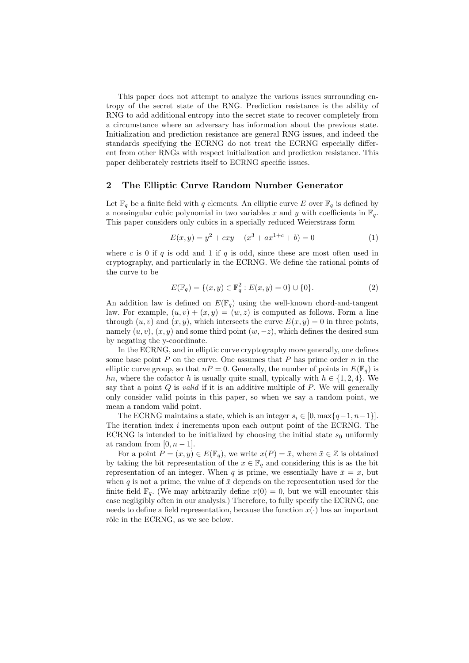This paper does not attempt to analyze the various issues surrounding entropy of the secret state of the RNG. Prediction resistance is the ability of RNG to add additional entropy into the secret state to recover completely from a circumstance where an adversary has information about the previous state. Initialization and prediction resistance are general RNG issues, and indeed the standards specifying the ECRNG do not treat the ECRNG especially different from other RNGs with respect initialization and prediction resistance. This paper deliberately restricts itself to ECRNG specific issues.

## 2 The Elliptic Curve Random Number Generator

Let  $\mathbb{F}_q$  be a finite field with q elements. An elliptic curve E over  $\mathbb{F}_q$  is defined by a nonsingular cubic polynomial in two variables x and y with coefficients in  $\mathbb{F}_q$ . This paper considers only cubics in a specially reduced Weierstrass form

$$
E(x, y) = y2 + cxy - (x3 + ax1+c + b) = 0
$$
 (1)

where  $c$  is 0 if  $q$  is odd and 1 if  $q$  is odd, since these are most often used in cryptography, and particularly in the ECRNG. We define the rational points of the curve to be

$$
E(\mathbb{F}_q) = \{(x, y) \in \mathbb{F}_q^2 : E(x, y) = 0\} \cup \{0\}.
$$
 (2)

An addition law is defined on  $E(\mathbb{F}_q)$  using the well-known chord-and-tangent law. For example,  $(u, v) + (x, y) = (w, z)$  is computed as follows. Form a line through  $(u, v)$  and  $(x, y)$ , which intersects the curve  $E(x, y) = 0$  in three points, namely  $(u, v), (x, y)$  and some third point  $(w, -z)$ , which defines the desired sum by negating the y-coordinate.

In the ECRNG, and in elliptic curve cryptography more generally, one defines some base point P on the curve. One assumes that P has prime order n in the elliptic curve group, so that  $nP = 0$ . Generally, the number of points in  $E(\mathbb{F}_q)$  is hn, where the cofactor h is usually quite small, typically with  $h \in \{1, 2, 4\}$ . We say that a point  $Q$  is *valid* if it is an additive multiple of  $P$ . We will generally only consider valid points in this paper, so when we say a random point, we mean a random valid point.

The ECRNG maintains a state, which is an integer  $s_i \in [0, \max\{q-1, n-1\}]$ . The iteration index  $i$  increments upon each output point of the ECRNG. The ECRNG is intended to be initialized by choosing the initial state  $s_0$  uniformly at random from  $[0, n-1]$ .

For a point  $P = (x, y) \in E(\mathbb{F}_q)$ , we write  $x(P) = \bar{x}$ , where  $\bar{x} \in \mathbb{Z}$  is obtained by taking the bit representation of the  $x \in \mathbb{F}_q$  and considering this is as the bit representation of an integer. When q is prime, we essentially have  $\bar{x} = x$ , but when q is not a prime, the value of  $\bar{x}$  depends on the representation used for the finite field  $\mathbb{F}_q$ . (We may arbitrarily define  $x(0) = 0$ , but we will encounter this case negligibly often in our analysis.) Therefore, to fully specify the ECRNG, one needs to define a field representation, because the function  $x(\cdot)$  has an important rôle in the ECRNG, as we see below.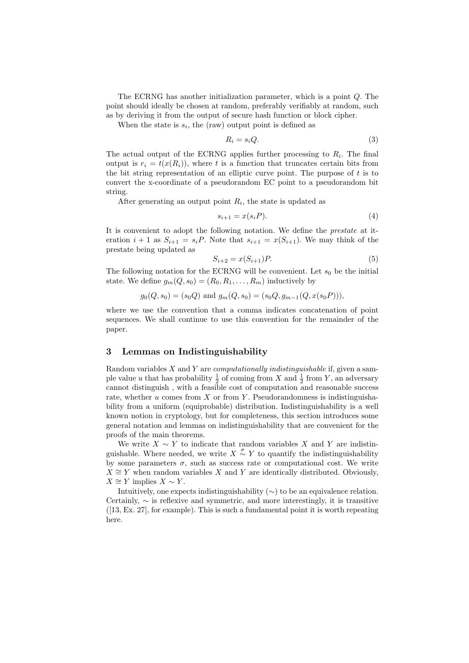The ECRNG has another initialization parameter, which is a point  $Q$ . The point should ideally be chosen at random, preferably verifiably at random, such as by deriving it from the output of secure hash function or block cipher.

When the state is  $s_i$ , the (raw) output point is defined as

$$
R_i = s_i Q. \tag{3}
$$

The actual output of the ECRNG applies further processing to  $R_i$ . The final output is  $r_i = t(x(R_i))$ , where t is a function that truncates certain bits from the bit string representation of an elliptic curve point. The purpose of  $t$  is to convert the x-coordinate of a pseudorandom EC point to a pseudorandom bit string.

After generating an output point  $R_i$ , the state is updated as

$$
s_{i+1} = x(s_i P). \tag{4}
$$

It is convenient to adopt the following notation. We define the prestate at iteration  $i + 1$  as  $S_{i+1} = s_i P$ . Note that  $s_{i+1} = x(S_{i+1})$ . We may think of the prestate being updated as

$$
S_{i+2} = x(S_{i+1})P.
$$
 (5)

The following notation for the ECRNG will be convenient. Let  $s_0$  be the initial state. We define  $g_m(Q, s_0) = (R_0, R_1, \ldots, R_m)$  inductively by

$$
g_0(Q, s_0) = (s_0Q)
$$
 and  $g_m(Q, s_0) = (s_0Q, g_{m-1}(Q, x(s_0P))),$ 

where we use the convention that a comma indicates concatenation of point sequences. We shall continue to use this convention for the remainder of the paper.

#### 3 Lemmas on Indistinguishability

Random variables  $X$  and  $Y$  are *computationally indistinguishable* if, given a sample value u that has probability  $\frac{1}{2}$  of coming from X and  $\frac{1}{2}$  from Y, an adversary cannot distinguish , with a feasible cost of computation and reasonable success rate, whether  $u$  comes from  $X$  or from  $Y$ . Pseudorandomness is indistinguishability from a uniform (equiprobable) distribution. Indistinguishability is a well known notion in cryptology, but for completeness, this section introduces some general notation and lemmas on indistinguishability that are convenient for the proofs of the main theorems.

We write  $X \sim Y$  to indicate that random variables X and Y are indistinguishable. Where needed, we write  $X \stackrel{\sigma}{\sim} Y$  to quantify the indistinguishability by some parameters  $\sigma$ , such as success rate or computational cost. We write  $X \cong Y$  when random variables X and Y are identically distributed. Obviously,  $X \cong Y$  implies  $X \sim Y$ .

Intuitively, one expects indistinguishability  $(\sim)$  to be an equivalence relation. Certainly, ∼ is reflexive and symmetric, and more interestingly, it is transitive ([13, Ex. 27], for example). This is such a fundamental point it is worth repeating here.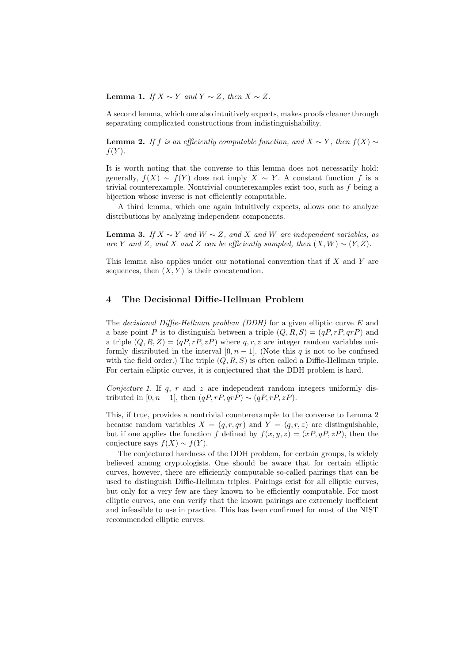**Lemma 1.** If  $X \sim Y$  and  $Y \sim Z$ , then  $X \sim Z$ .

A second lemma, which one also intuitively expects, makes proofs cleaner through separating complicated constructions from indistinguishability.

**Lemma 2.** If f is an efficiently computable function, and  $X \sim Y$ , then  $f(X) \sim$  $f(Y)$ .

It is worth noting that the converse to this lemma does not necessarily hold: generally,  $f(X) \sim f(Y)$  does not imply  $X \sim Y$ . A constant function f is a trivial counterexample. Nontrivial counterexamples exist too, such as f being a bijection whose inverse is not efficiently computable.

A third lemma, which one again intuitively expects, allows one to analyze distributions by analyzing independent components.

**Lemma 3.** If  $X \sim Y$  and  $W \sim Z$ , and  $X$  and  $W$  are independent variables, as are Y and Z, and X and Z can be efficiently sampled, then  $(X, W) \sim (Y, Z)$ .

This lemma also applies under our notational convention that if  $X$  and  $Y$  are sequences, then  $(X, Y)$  is their concatenation.

## 4 The Decisional Diffie-Hellman Problem

The *decisional Diffie-Hellman problem (DDH)* for a given elliptic curve  $E$  and a base point P is to distinguish between a triple  $(Q, R, S) = (qP, rP, qrP)$  and a triple  $(Q, R, Z) = (qP, rP, zP)$  where  $q, r, z$  are integer random variables uniformly distributed in the interval  $[0, n - 1]$ . (Note this q is not to be confused with the field order.) The triple  $(Q, R, S)$  is often called a Diffie-Hellman triple. For certain elliptic curves, it is conjectured that the DDH problem is hard.

Conjecture 1. If q, r and z are independent random integers uniformly distributed in [0, n − 1], then  $(qP, rP, qrP) \sim (qP, rP, zP)$ .

This, if true, provides a nontrivial counterexample to the converse to Lemma 2 because random variables  $X = (q, r, qr)$  and  $Y = (q, r, z)$  are distinguishable, but if one applies the function f defined by  $f(x, y, z) = (xP, yP, zP)$ , then the conjecture says  $f(X) \sim f(Y)$ .

The conjectured hardness of the DDH problem, for certain groups, is widely believed among cryptologists. One should be aware that for certain elliptic curves, however, there are efficiently computable so-called pairings that can be used to distinguish Diffie-Hellman triples. Pairings exist for all elliptic curves, but only for a very few are they known to be efficiently computable. For most elliptic curves, one can verify that the known pairings are extremely inefficient and infeasible to use in practice. This has been confirmed for most of the NIST recommended elliptic curves.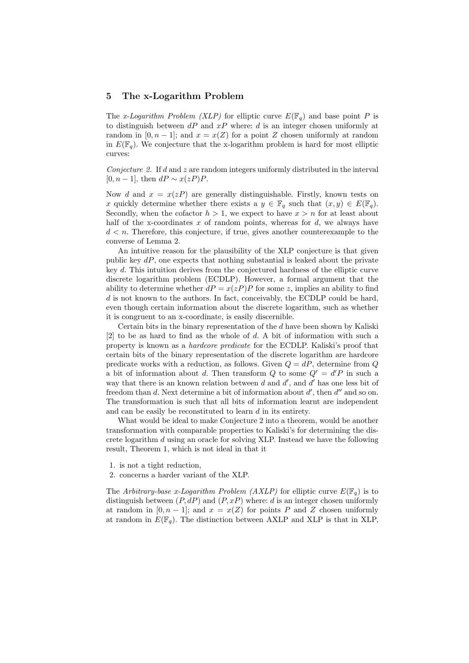#### 5 The x-Logarithm Problem

The x-Logarithm Problem (XLP) for elliptic curve  $E(\mathbb{F}_q)$  and base point P is to distinguish between  $dP$  and  $xP$  where: d is an integer chosen uniformly at random in [0, n – 1]; and  $x = x(Z)$  for a point Z chosen uniformly at random in  $E(\mathbb{F}_q)$ . We conjecture that the x-logarithm problem is hard for most elliptic curves:

Conjecture 2. If d and z are random integers uniformly distributed in the interval [0, n – 1], then  $dP \sim x(zP)P$ .

Now d and  $x = x(zP)$  are generally distinguishable. Firstly, known tests on x quickly determine whether there exists a  $y \in \mathbb{F}_q$  such that  $(x, y) \in E(\mathbb{F}_q)$ . Secondly, when the cofactor  $h > 1$ , we expect to have  $x > n$  for at least about half of the x-coordinates  $x$  of random points, whereas for  $d$ , we always have  $d \leq n$ . Therefore, this conjecture, if true, gives another counterexample to the converse of Lemma 2.

An intuitive reason for the plausibility of the XLP conjecture is that given public key  $dP$ , one expects that nothing substantial is leaked about the private key d. This intuition derives from the conjectured hardness of the elliptic curve discrete logarithm problem (ECDLP). However, a formal argument that the ability to determine whether  $dP = x(zP)P$  for some z, implies an ability to find d is not known to the authors. In fact, conceivably, the ECDLP could be hard, even though certain information about the discrete logarithm, such as whether it is congruent to an x-coordinate, is easily discernible.

Certain bits in the binary representation of the d have been shown by Kaliski  $[2]$  to be as hard to find as the whole of d. A bit of information with such a property is known as a hardcore predicate for the ECDLP. Kaliski's proof that certain bits of the binary representation of the discrete logarithm are hardcore predicate works with a reduction, as follows. Given  $Q = dP$ , determine from Q a bit of information about d. Then transform  $Q$  to some  $Q' = d'P$  in such a way that there is an known relation between  $d$  and  $d'$ , and  $d'$  has one less bit of freedom than d. Next determine a bit of information about  $d'$ , then  $d''$  and so on. The transformation is such that all bits of information learnt are independent and can be easily be reconstituted to learn d in its entirety.

What would be ideal to make Conjecture 2 into a theorem, would be another transformation with comparable properties to Kaliski's for determining the discrete logarithm d using an oracle for solving XLP. Instead we have the following result, Theorem 1, which is not ideal in that it

- 1. is not a tight reduction,
- 2. concerns a harder variant of the XLP.

The Arbitrary-base x-Logarithm Problem (AXLP) for elliptic curve  $E(\mathbb{F}_q)$  is to distinguish between  $(P, dP)$  and  $(P, xP)$  where: d is an integer chosen uniformly at random in  $[0, n-1]$ ; and  $x = x(Z)$  for points P and Z chosen uniformly at random in  $E(\mathbb{F}_q)$ . The distinction between AXLP and XLP is that in XLP,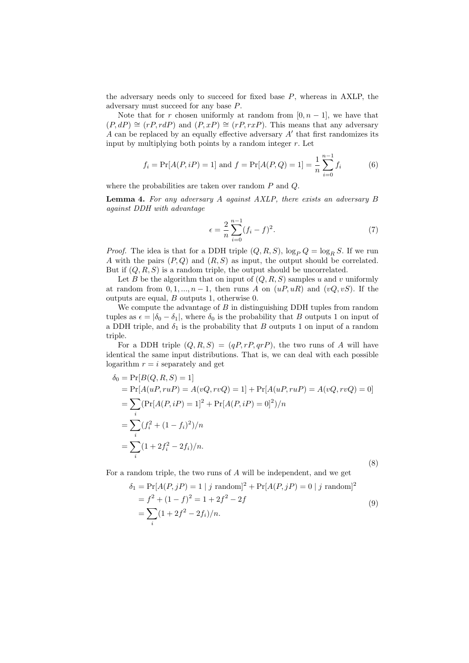the adversary needs only to succeed for fixed base P, whereas in AXLP, the adversary must succeed for any base P.

Note that for r chosen uniformly at random from  $[0, n-1]$ , we have that  $(P, dP) \cong (rP, rdP)$  and  $(P, xP) \cong (rP, rxP)$ . This means that any adversary  $A$  can be replaced by an equally effective adversary  $A'$  that first randomizes its input by multiplying both points by a random integer  $r$ . Let

$$
f_i = \Pr[A(P, iP) = 1]
$$
 and  $f = \Pr[A(P, Q) = 1] = \frac{1}{n} \sum_{i=0}^{n-1} f_i$  (6)

where the probabilities are taken over random P and Q.

Lemma 4. For any adversary A against AXLP, there exists an adversary B against DDH with advantage

$$
\epsilon = \frac{2}{n} \sum_{i=0}^{n-1} (f_i - f)^2.
$$
 (7)

*Proof.* The idea is that for a DDH triple  $(Q, R, S)$ ,  $\log_P Q = \log_R S$ . If we run A with the pairs  $(P,Q)$  and  $(R, S)$  as input, the output should be correlated. But if  $(Q, R, S)$  is a random triple, the output should be uncorrelated.

Let B be the algorithm that on input of  $(Q, R, S)$  samples u and v uniformly at random from  $0, 1, ..., n-1$ , then runs A on  $(uP, uR)$  and  $(vQ, vS)$ . If the outputs are equal,  $B$  outputs 1, otherwise 0.

We compute the advantage of  $B$  in distinguishing DDH tuples from random tuples as  $\epsilon = |\delta_0 - \delta_1|$ , where  $\delta_0$  is the probability that B outputs 1 on input of a DDH triple, and  $\delta_1$  is the probability that B outputs 1 on input of a random triple.

For a DDH triple  $(Q, R, S) = (qP, rP, qrP)$ , the two runs of A will have identical the same input distributions. That is, we can deal with each possible logarithm  $r = i$  separately and get

$$
\delta_0 = \Pr[B(Q, R, S) = 1]
$$
  
=  $\Pr[A(uP, ruP) = A(vQ, rvQ) = 1] + \Pr[A(uP, ruP) = A(vQ, rvQ) = 0]$   
=  $\sum_i (\Pr[A(P, iP) = 1]^2 + \Pr[A(P, iP) = 0]^2)/n$   
=  $\sum_i (f_i^2 + (1 - f_i)^2)/n$   
=  $\sum_i (1 + 2f_i^2 - 2f_i)/n$ . (8)

For a random triple, the two runs of A will be independent, and we get

$$
\delta_1 = \Pr[A(P, jP) = 1 | j \text{ random}]^2 + \Pr[A(P, jP) = 0 | j \text{ random}]^2
$$
  
=  $f^2 + (1 - f)^2 = 1 + 2f^2 - 2f$   
=  $\sum_i (1 + 2f^2 - 2f_i)/n$ . (9)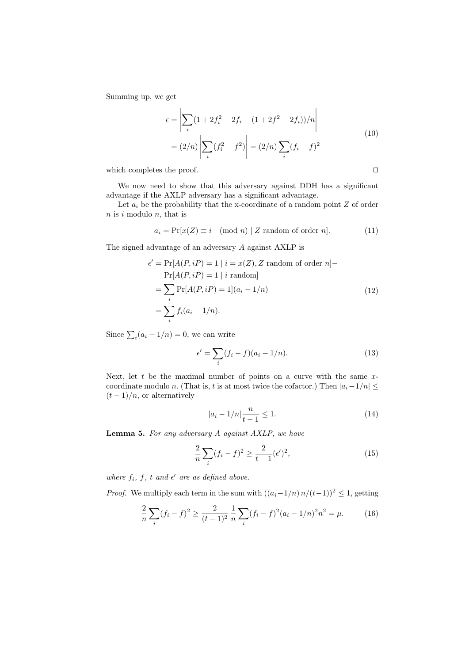Summing up, we get

$$
\epsilon = \left| \sum_{i} (1 + 2f_i^2 - 2f_i - (1 + 2f^2 - 2f_i))/n \right|
$$
  
=  $(2/n) \left| \sum_{i} (f_i^2 - f^2) \right| = (2/n) \sum_{i} (f_i - f)^2$  (10)

which completes the proof.  $\Box$ 

We now need to show that this adversary against DDH has a significant advantage if the AXLP adversary has a significant advantage.

Let  $a_i$  be the probability that the x-coordinate of a random point  $Z$  of order  $n$  is i modulo  $n$ , that is

$$
a_i = \Pr[x(Z) \equiv i \pmod{n} \mid Z \text{ random of order } n]. \tag{11}
$$

The signed advantage of an adversary A against AXLP is

$$
\epsilon' = \Pr[A(P, iP) = 1 | i = x(Z), Z \text{ random of order } n] -
$$

$$
\Pr[A(P, iP) = 1 | i \text{ random}]
$$

$$
= \sum_{i} \Pr[A(P, iP) = 1](a_i - 1/n)
$$

$$
= \sum_{i} f_i(a_i - 1/n).
$$
(12)

Since  $\sum_i (a_i - 1/n) = 0$ , we can write

$$
\epsilon' = \sum_{i} (f_i - f)(a_i - 1/n). \tag{13}
$$

Next, let  $t$  be the maximal number of points on a curve with the same  $x$ coordinate modulo n. (That is, t is at most twice the cofactor.) Then  $|a_i-1/n| \leq$  $(t-1)/n$ , or alternatively

$$
|a_i - 1/n| \frac{n}{t - 1} \le 1.
$$
\n(14)

Lemma 5. For any adversary A against AXLP, we have

$$
\frac{2}{n}\sum_{i}(f_i - f)^2 \ge \frac{2}{t - 1}(\epsilon')^2,\tag{15}
$$

where  $f_i$ ,  $f$ ,  $t$  and  $\epsilon'$  are as defined above.

*Proof.* We multiply each term in the sum with  $((a_i-1/n) n/(t-1))^2 \leq 1$ , getting

$$
\frac{2}{n}\sum_{i}(f_i - f)^2 \ge \frac{2}{(t-1)^2}\frac{1}{n}\sum_{i}(f_i - f)^2(a_i - 1/n)^2 n^2 = \mu.
$$
 (16)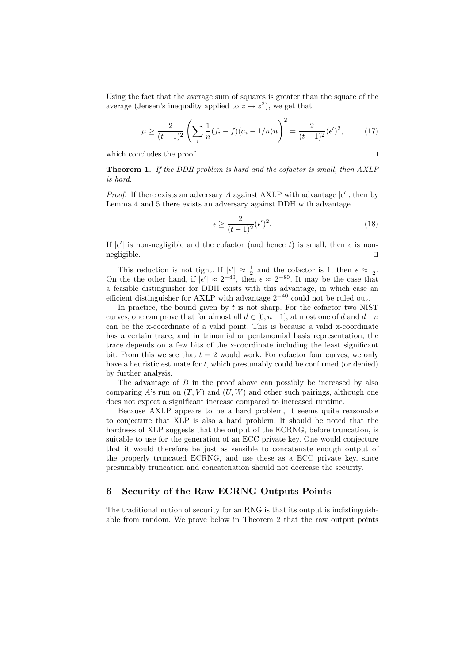Using the fact that the average sum of squares is greater than the square of the average (Jensen's inequality applied to  $z \mapsto z^2$ ), we get that

$$
\mu \ge \frac{2}{(t-1)^2} \left( \sum_{i} \frac{1}{n} (f_i - f)(a_i - 1/n)n \right)^2 = \frac{2}{(t-1)^2} (\epsilon')^2, \tag{17}
$$

which concludes the proof.  $\Box$ 

Theorem 1. If the DDH problem is hard and the cofactor is small, then AXLP is hard.

*Proof.* If there exists an adversary A against AXLP with advantage  $|\epsilon'|$ , then by Lemma 4 and 5 there exists an adversary against DDH with advantage

$$
\epsilon \ge \frac{2}{(t-1)^2} (\epsilon')^2. \tag{18}
$$

If  $|\epsilon'|$  is non-negligible and the cofactor (and hence t) is small, then  $\epsilon$  is non- $\Box$  negligible.  $\Box$ 

This reduction is not tight. If  $|\epsilon'| \approx \frac{1}{2}$  and the cofactor is 1, then  $\epsilon \approx \frac{1}{2}$ . On the the other hand, if  $|\epsilon'| \approx 2^{-40}$ , then  $\epsilon \approx 2^{-80}$ . It may be the case that a feasible distinguisher for DDH exists with this advantage, in which case an efficient distinguisher for AXLP with advantage  $2^{-40}$  could not be ruled out.

In practice, the bound given by  $t$  is not sharp. For the cofactor two NIST curves, one can prove that for almost all  $d \in [0, n-1]$ , at most one of d and  $d+n$ can be the x-coordinate of a valid point. This is because a valid x-coordinate has a certain trace, and in trinomial or pentanomial basis representation, the trace depends on a few bits of the x-coordinate including the least significant bit. From this we see that  $t = 2$  would work. For cofactor four curves, we only have a heuristic estimate for t, which presumably could be confirmed (or denied) by further analysis.

The advantage of  $B$  in the proof above can possibly be increased by also comparing A's run on  $(T, V)$  and  $(U, W)$  and other such pairings, although one does not expect a significant increase compared to increased runtime.

Because AXLP appears to be a hard problem, it seems quite reasonable to conjecture that XLP is also a hard problem. It should be noted that the hardness of XLP suggests that the output of the ECRNG, before truncation, is suitable to use for the generation of an ECC private key. One would conjecture that it would therefore be just as sensible to concatenate enough output of the properly truncated ECRNG, and use these as a ECC private key, since presumably truncation and concatenation should not decrease the security.

## 6 Security of the Raw ECRNG Outputs Points

The traditional notion of security for an RNG is that its output is indistinguishable from random. We prove below in Theorem 2 that the raw output points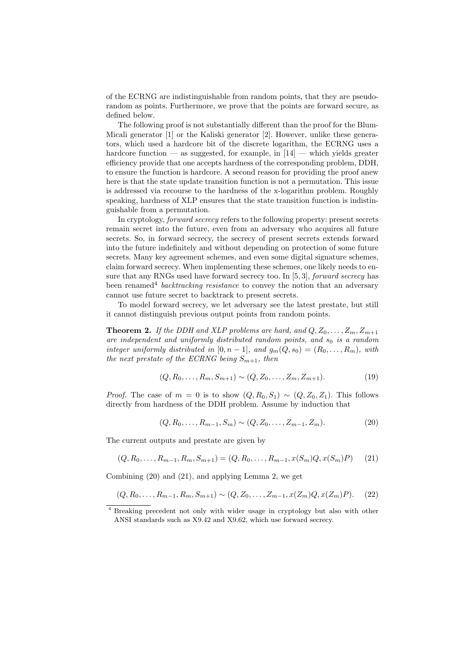of the ECRNG are indistinguishable from random points, that they are pseudorandom as points. Furthermore, we prove that the points are forward secure, as defined below.

The following proof is not substantially different than the proof for the Blum-Micali generator [1] or the Kaliski generator [2]. However, unlike these generators, which used a hardcore bit of the discrete logarithm, the ECRNG uses a hardcore function — as suggested, for example, in  $[14]$  — which yields greater efficiency provide that one accepts hardness of the corresponding problem, DDH, to ensure the function is hardcore. A second reason for providing the proof anew here is that the state update transition function is not a permutation. This issue is addressed via recourse to the hardness of the x-logarithm problem. Roughly speaking, hardness of XLP ensures that the state transition function is indistinguishable from a permutation.

In cryptology, forward secrecy refers to the following property: present secrets remain secret into the future, even from an adversary who acquires all future secrets. So, in forward secrecy, the secrecy of present secrets extends forward into the future indefinitely and without depending on protection of some future secrets. Many key agreement schemes, and even some digital signature schemes, claim forward secrecy. When implementing these schemes, one likely needs to ensure that any RNGs used have forward secrecy too. In [5, 3], *forward secrecy* has been renamed<sup>4</sup> backtracking resistance to convey the notion that an adversary cannot use future secret to backtrack to present secrets.

To model forward secrecy, we let adversary see the latest prestate, but still it cannot distinguish previous output points from random points.

**Theorem 2.** If the DDH and XLP problems are hard, and  $Q, Z_0, \ldots, Z_m, Z_{m+1}$ are independent and uniformly distributed random points, and  $s_0$  is a random integer uniformly distributed in  $[0, n-1]$ , and  $g_m(Q, s_0) = (R_0, \ldots, R_m)$ , with the next prestate of the ECRNG being  $S_{m+1}$ , then

$$
(Q, R_0, \dots, R_m, S_{m+1}) \sim (Q, Z_0, \dots, Z_m, Z_{m+1}).
$$
\n(19)

*Proof.* The case of  $m = 0$  is to show  $(Q, R_0, S_1) \sim (Q, Z_0, Z_1)$ . This follows directly from hardness of the DDH problem. Assume by induction that

$$
(Q, R_0, \dots, R_{m-1}, S_m) \sim (Q, Z_0, \dots, Z_{m-1}, Z_m). \tag{20}
$$

The current outputs and prestate are given by

$$
(Q, R_0, \dots, R_{m-1}, R_m, S_{m+1}) = (Q, R_0, \dots, R_{m-1}, x(S_m)Q, x(S_m)P) \tag{21}
$$

Combining (20) and (21), and applying Lemma 2, we get

$$
(Q, R_0, \dots, R_{m-1}, R_m, S_{m+1}) \sim (Q, Z_0, \dots, Z_{m-1}, x(Z_m)Q, x(Z_m)P). \tag{22}
$$

<sup>&</sup>lt;sup>4</sup> Breaking precedent not only with wider usage in cryptology but also with other ANSI standards such as X9.42 and X9.62, which use forward secrecy.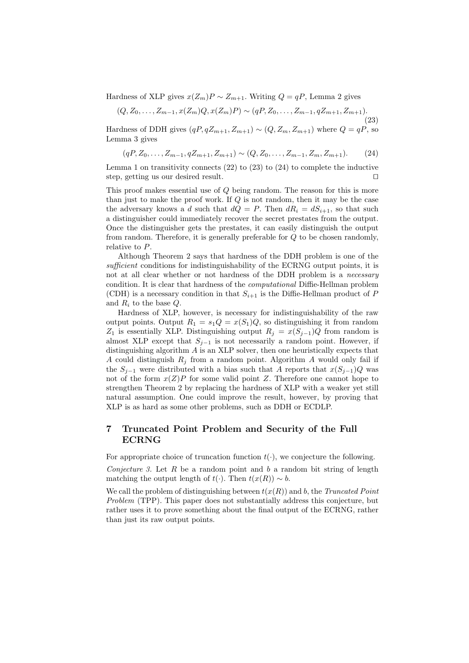Hardness of XLP gives  $x(Z_m)P \sim Z_{m+1}$ . Writing  $Q = qP$ , Lemma 2 gives

$$
(Q, Z_0, \dots, Z_{m-1}, x(Z_m)Q, x(Z_m)P) \sim (qP, Z_0, \dots, Z_{m-1}, qZ_{m+1}, Z_{m+1}).
$$
\n(23)

Hardness of DDH gives  $(qP, qZ_{m+1}, Z_{m+1}) \sim (Q, Z_m, Z_{m+1})$  where  $Q = qP$ , so Lemma 3 gives

$$
(qP, Z_0, \dots, Z_{m-1}, qZ_{m+1}, Z_{m+1}) \sim (Q, Z_0, \dots, Z_{m-1}, Z_m, Z_{m+1}).
$$
 (24)

Lemma 1 on transitivity connects  $(22)$  to  $(23)$  to  $(24)$  to complete the inductive step, getting us our desired result.  $\square$ 

This proof makes essential use of Q being random. The reason for this is more than just to make the proof work. If  $Q$  is not random, then it may be the case the adversary knows a d such that  $dQ = P$ . Then  $dR_i = dS_{i+1}$ , so that such a distinguisher could immediately recover the secret prestates from the output. Once the distinguisher gets the prestates, it can easily distinguish the output from random. Therefore, it is generally preferable for Q to be chosen randomly, relative to P.

Although Theorem 2 says that hardness of the DDH problem is one of the sufficient conditions for indistinguishability of the ECRNG output points, it is not at all clear whether or not hardness of the DDH problem is a *necessary* condition. It is clear that hardness of the computational Diffie-Hellman problem (CDH) is a necessary condition in that  $S_{i+1}$  is the Diffie-Hellman product of P and  $R_i$  to the base  $Q$ .

Hardness of XLP, however, is necessary for indistinguishability of the raw output points. Output  $R_1 = s_1 Q = x(S_1)Q$ , so distinguishing it from random  $Z_1$  is essentially XLP. Distinguishing output  $R_i = x(S_{i-1})Q$  from random is almost XLP except that  $S_{i-1}$  is not necessarily a random point. However, if distinguishing algorithm A is an XLP solver, then one heuristically expects that A could distinguish  $R_j$  from a random point. Algorithm A would only fail if the  $S_{j-1}$  were distributed with a bias such that A reports that  $x(S_{j-1})Q$  was not of the form  $x(Z)P$  for some valid point Z. Therefore one cannot hope to strengthen Theorem 2 by replacing the hardness of XLP with a weaker yet still natural assumption. One could improve the result, however, by proving that XLP is as hard as some other problems, such as DDH or ECDLP.

## 7 Truncated Point Problem and Security of the Full ECRNG

For appropriate choice of truncation function  $t(\cdot)$ , we conjecture the following.

Conjecture 3. Let  $R$  be a random point and  $b$  a random bit string of length matching the output length of  $t(.)$ . Then  $t(x(R)) \sim b$ .

We call the problem of distinguishing between  $t(x(R))$  and b, the Truncated Point Problem (TPP). This paper does not substantially address this conjecture, but rather uses it to prove something about the final output of the ECRNG, rather than just its raw output points.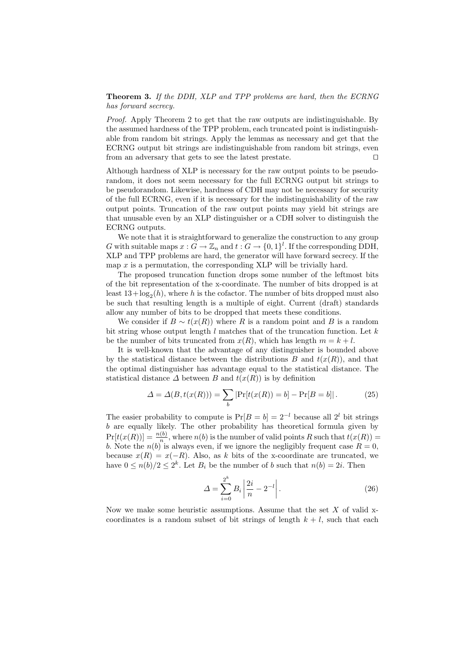#### Theorem 3. If the DDH, XLP and TPP problems are hard, then the ECRNG has forward secrecy.

Proof. Apply Theorem 2 to get that the raw outputs are indistinguishable. By the assumed hardness of the TPP problem, each truncated point is indistinguishable from random bit strings. Apply the lemmas as necessary and get that the ECRNG output bit strings are indistinguishable from random bit strings, even from an adversary that gets to see the latest prestate.  $\square$ 

Although hardness of XLP is necessary for the raw output points to be pseudorandom, it does not seem necessary for the full ECRNG output bit strings to be pseudorandom. Likewise, hardness of CDH may not be necessary for security of the full ECRNG, even if it is necessary for the indistinguishability of the raw output points. Truncation of the raw output points may yield bit strings are that unusable even by an XLP distinguisher or a CDH solver to distinguish the ECRNG outputs.

We note that it is straightforward to generalize the construction to any group G with suitable maps  $x: G \to \mathbb{Z}_n$  and  $t: G \to \{0,1\}^l$ . If the corresponding DDH, XLP and TPP problems are hard, the generator will have forward secrecy. If the map  $x$  is a permutation, the corresponding XLP will be trivially hard.

The proposed truncation function drops some number of the leftmost bits of the bit representation of the x-coordinate. The number of bits dropped is at least  $13 + \log_2(h)$ , where h is the cofactor. The number of bits dropped must also be such that resulting length is a multiple of eight. Current (draft) standards allow any number of bits to be dropped that meets these conditions.

We consider if  $B \sim t(x(R))$  where R is a random point and B is a random bit string whose output length  $l$  matches that of the truncation function. Let  $k$ be the number of bits truncated from  $x(R)$ , which has length  $m = k + l$ .

It is well-known that the advantage of any distinguisher is bounded above by the statistical distance between the distributions B and  $t(x(R))$ , and that the optimal distinguisher has advantage equal to the statistical distance. The statistical distance  $\Delta$  between B and  $t(x(R))$  is by definition

$$
\Delta = \Delta(B, t(x(R))) = \sum_{b} |\Pr[t(x(R)) = b] - \Pr[B = b]|.
$$
 (25)

The easier probability to compute is  $Pr[B = b] = 2^{-l}$  because all  $2^{l}$  bit strings b are equally likely. The other probability has theoretical formula given by  $Pr[t(x(R))] = \frac{n(b)}{n}$ , where  $n(b)$  is the number of valid points R such that  $t(x(R))$ b. Note the  $n(b)$  is always even, if we ignore the negligibly frequent case  $R = 0$ , because  $x(R) = x(-R)$ . Also, as k bits of the x-coordinate are truncated, we have  $0 \leq n(b)/2 \leq 2^k$ . Let  $B_i$  be the number of b such that  $n(b) = 2i$ . Then

$$
\Delta = \sum_{i=0}^{2^k} B_i \left| \frac{2i}{n} - 2^{-l} \right|.
$$
\n(26)

Now we make some heuristic assumptions. Assume that the set  $X$  of valid xcoordinates is a random subset of bit strings of length  $k + l$ , such that each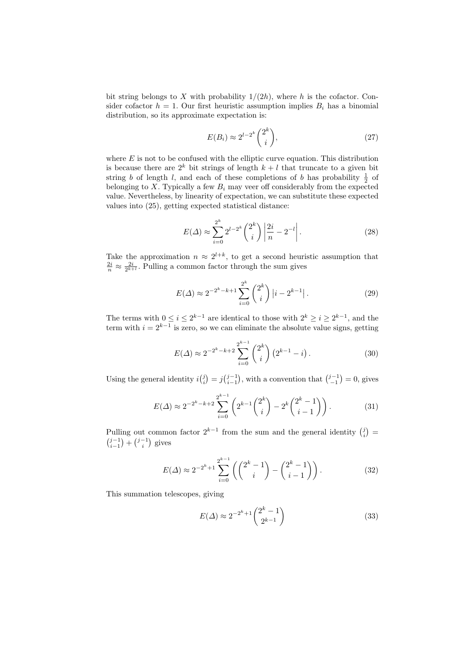bit string belongs to X with probability  $1/(2h)$ , where h is the cofactor. Consider cofactor  $h = 1$ . Our first heuristic assumption implies  $B_i$  has a binomial distribution, so its approximate expectation is:

$$
E(B_i) \approx 2^{l-2^k} \binom{2^k}{i},\tag{27}
$$

where  $E$  is not to be confused with the elliptic curve equation. This distribution is because there are  $2^k$  bit strings of length  $k + l$  that truncate to a given bit string b of length l, and each of these completions of b has probability  $\frac{1}{2}$  of belonging to X. Typically a few  $B_i$  may veer off considerably from the expected value. Nevertheless, by linearity of expectation, we can substitute these expected values into (25), getting expected statistical distance:

$$
E(\Delta) \approx \sum_{i=0}^{2^k} 2^{l-2^k} {2^k \choose i} \left| \frac{2i}{n} - 2^{-l} \right|.
$$
 (28)

Take the approximation  $n \approx 2^{l+k}$ , to get a second heuristic assumption that  $\frac{2i}{n} \approx \frac{2i}{2^{k+l}}$ . Pulling a common factor through the sum gives

$$
E(\Delta) \approx 2^{-2^{k} - k + 1} \sum_{i=0}^{2^{k}} \binom{2^{k}}{i} |i - 2^{k-1}|.
$$
 (29)

The terms with  $0 \leq i \leq 2^{k-1}$  are identical to those with  $2^k \geq i \geq 2^{k-1}$ , and the term with  $i = 2^{k-1}$  is zero, so we can eliminate the absolute value signs, getting

$$
E(\Delta) \approx 2^{-2^{k}-k+2} \sum_{i=0}^{2^{k}-1} {2^{k} \choose i} (2^{k-1}-i).
$$
 (30)

Using the general identity  $i(j) = j(i-1)$ , with a convention that  $j-1 \choose -1 = 0$ , gives

$$
E(\Delta) \approx 2^{-2^k - k + 2} \sum_{i=0}^{2^{k-1}} \left( 2^{k-1} {2^k \choose i} - 2^k {2^k - 1 \choose i-1} \right). \tag{31}
$$

Pulling out common factor  $2^{k-1}$  from the sum and the general identity  $\binom{j}{i}$  $\binom{j-1}{i-1} + \binom{j-1}{i}$  gives

$$
E(\Delta) \approx 2^{-2^{k}+1} \sum_{i=0}^{2^{k}-1} \left( \binom{2^{k}-1}{i} - \binom{2^{k}-1}{i-1} \right). \tag{32}
$$

This summation telescopes, giving

$$
E(\Delta) \approx 2^{-2^{k}+1} \binom{2^{k}-1}{2^{k-1}}
$$
\n(33)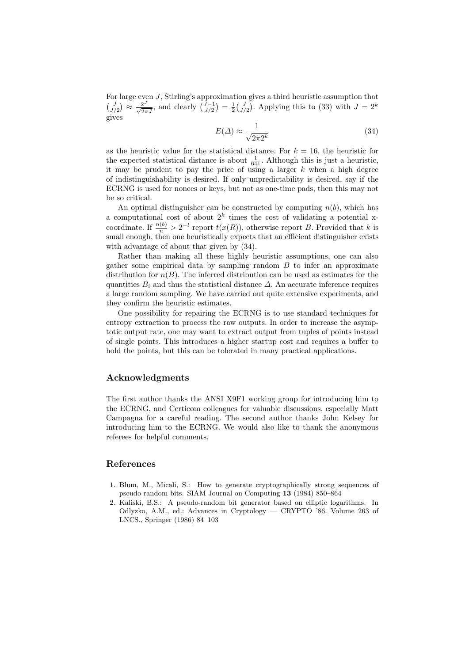For large even J, Stirling's approximation gives a third heuristic assumption that  $\binom{J}{J/2} \approx \frac{2^J}{\sqrt{2\pi J}}$ , and clearly  $\binom{J-1}{J/2} = \frac{1}{2} \binom{J}{J/2}$ . Applying this to (33) with  $J = 2^k$ gives

$$
E(\Delta) \approx \frac{1}{\sqrt{2\pi 2^k}}\tag{34}
$$

as the heuristic value for the statistical distance. For  $k = 16$ , the heuristic for the expected statistical distance is about  $\frac{1}{641}$ . Although this is just a heuristic, it may be prudent to pay the price of using a larger  $k$  when a high degree of indistinguishability is desired. If only unpredictability is desired, say if the ECRNG is used for nonces or keys, but not as one-time pads, then this may not be so critical.

An optimal distinguisher can be constructed by computing  $n(b)$ , which has a computational cost of about  $2^k$  times the cost of validating a potential xcoordinate. If  $\frac{n(b)}{n} > 2^{-l}$  report  $t(x(R))$ , otherwise report B. Provided that k is small enough, then one heuristically expects that an efficient distinguisher exists with advantage of about that given by (34).

Rather than making all these highly heuristic assumptions, one can also gather some empirical data by sampling random  $B$  to infer an approximate distribution for  $n(B)$ . The inferred distribution can be used as estimates for the quantities  $B_i$  and thus the statistical distance  $\Delta$ . An accurate inference requires a large random sampling. We have carried out quite extensive experiments, and they confirm the heuristic estimates.

One possibility for repairing the ECRNG is to use standard techniques for entropy extraction to process the raw outputs. In order to increase the asymptotic output rate, one may want to extract output from tuples of points instead of single points. This introduces a higher startup cost and requires a buffer to hold the points, but this can be tolerated in many practical applications.

## Acknowledgments

The first author thanks the ANSI X9F1 working group for introducing him to the ECRNG, and Certicom colleagues for valuable discussions, especially Matt Campagna for a careful reading. The second author thanks John Kelsey for introducing him to the ECRNG. We would also like to thank the anonymous referees for helpful comments.

## References

- 1. Blum, M., Micali, S.: How to generate cryptographically strong sequences of pseudo-random bits. SIAM Journal on Computing 13 (1984) 850–864
- 2. Kaliski, B.S.: A pseudo-random bit generator based on elliptic logarithms. In Odlyzko, A.M., ed.: Advances in Cryptology — CRYPTO '86. Volume 263 of LNCS., Springer (1986) 84–103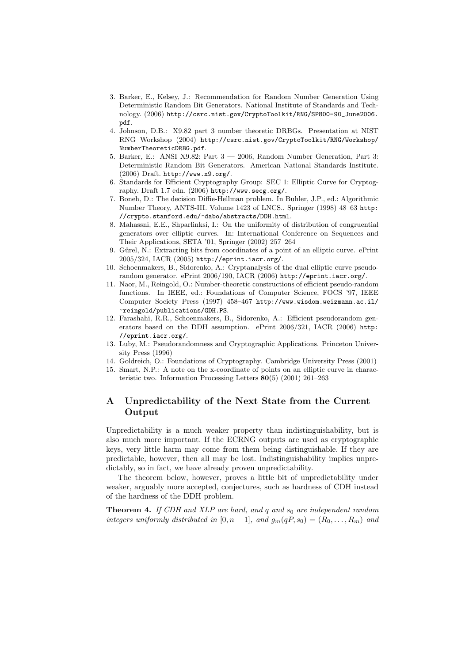- 3. Barker, E., Kelsey, J.: Recommendation for Random Number Generation Using Deterministic Random Bit Generators. National Institute of Standards and Technology. (2006) http://csrc.nist.gov/CryptoToolkit/RNG/SP800-90\_June2006. pdf.
- 4. Johnson, D.B.: X9.82 part 3 number theoretic DRBGs. Presentation at NIST RNG Workshop (2004) http://csrc.nist.gov/CryptoToolkit/RNG/Workshop/ NumberTheoreticDRBG.pdf.
- 5. Barker, E.: ANSI X9.82: Part 3 2006, Random Number Generation, Part 3: Deterministic Random Bit Generators. American National Standards Institute. (2006) Draft. http://www.x9.org/.
- 6. Standards for Efficient Cryptography Group: SEC 1: Elliptic Curve for Cryptography. Draft 1.7 edn. (2006) http://www.secg.org/.
- 7. Boneh, D.: The decision Diffie-Hellman problem. In Buhler, J.P., ed.: Algorithmic Number Theory, ANTS-III. Volume 1423 of LNCS., Springer (1998) 48–63 http: //crypto.stanford.edu/~dabo/abstracts/DDH.html.
- 8. Mahassni, E.E., Shparlinksi, I.: On the uniformity of distribution of congruential generators over elliptic curves. In: International Conference on Sequences and Their Applications, SETA '01, Springer (2002) 257–264
- 9. Gürel, N.: Extracting bits from coordinates of a point of an elliptic curve. ePrint 2005/324, IACR (2005) http://eprint.iacr.org/.
- 10. Schoenmakers, B., Sidorenko, A.: Cryptanalysis of the dual elliptic curve pseudorandom generator. ePrint 2006/190, IACR (2006) http://eprint.iacr.org/.
- 11. Naor, M., Reingold, O.: Number-theoretic constructions of efficient pseudo-random functions. In IEEE, ed.: Foundations of Computer Science, FOCS '97, IEEE Computer Society Press (1997) 458–467 http://www.wisdom.weizmann.ac.il/ ~reingold/publications/GDH.PS.
- 12. Farashahi, R.R., Schoenmakers, B., Sidorenko, A.: Efficient pseudorandom generators based on the DDH assumption. ePrint 2006/321, IACR (2006) http: //eprint.iacr.org/.
- 13. Luby, M.: Pseudorandomness and Cryptographic Applications. Princeton University Press (1996)
- 14. Goldreich, O.: Foundations of Cryptography. Cambridge University Press (2001)
- 15. Smart, N.P.: A note on the x-coordinate of points on an elliptic curve in characteristic two. Information Processing Letters 80(5) (2001) 261–263

## A Unpredictability of the Next State from the Current **Output**

Unpredictability is a much weaker property than indistinguishability, but is also much more important. If the ECRNG outputs are used as cryptographic keys, very little harm may come from them being distinguishable. If they are predictable, however, then all may be lost. Indistinguishability implies unpredictably, so in fact, we have already proven unpredictability.

The theorem below, however, proves a little bit of unpredictability under weaker, arguably more accepted, conjectures, such as hardness of CDH instead of the hardness of the DDH problem.

**Theorem 4.** If CDH and XLP are hard, and q and  $s_0$  are independent random integers uniformly distributed in  $[0, n - 1]$ , and  $g_m(qP, s_0) = (R_0, \ldots, R_m)$  and